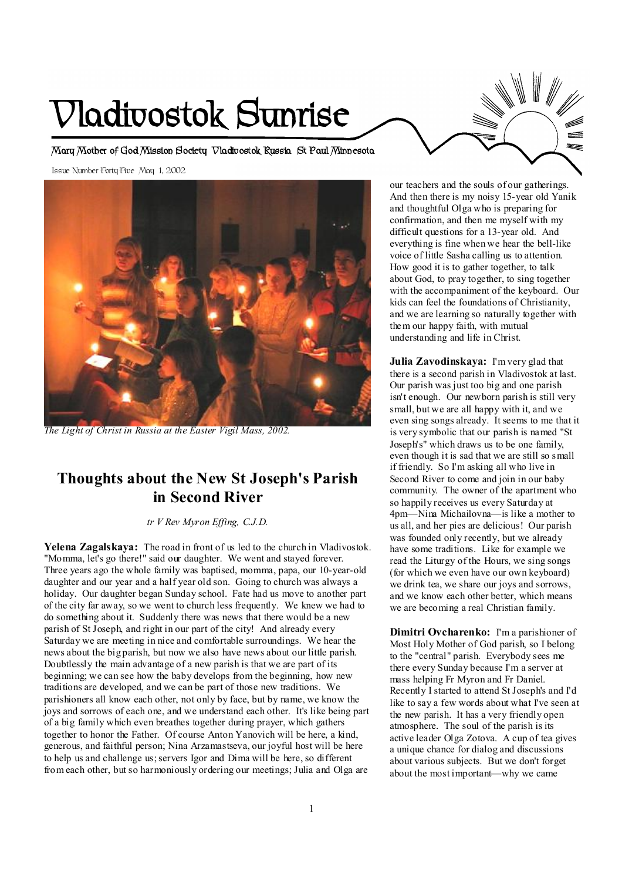# **Vladivostok Sunrise**

**Mary Mother of God Mission Society Vladivostok Russia St Paul Minnesota** 

Issue Number Forty Five May 1, 2002



*The Light of Christ in Russia at the Easter Vigil Mass, 2002.* 

# **Thoughts about the New St Joseph's Parish in Second River**

*tr V Rev Myron Effing, C.J.D.* 

**Yelena Zagalskaya:** The road in front of us led to the church in Vladivostok. "Momma, let's go there!" said our daughter. We went and stayed forever. Three years ago the whole family was baptised, momma, papa, our 10-year-old daughter and our year and a half year old son. Going to church was always a holiday. Our daughter began Sunday school. Fate had us move to another part of the city far away, so we went to church less frequently. We knew we had to do something about it. Suddenly there was news that there would be a new parish of St Joseph, and right in our part of the city! And already every Saturday we are meeting in nice and comfortable surroundings. We hear the news about the big parish, but now we also have news about our little parish. Doubtlessly the main advantage of a new parish is that we are part of its beginning; we can see how the baby develops from the beginning, how new traditions are developed, and we can be part of those new traditions. We parishioners all know each other, not only by face, but by name, we know the joys and sorrows of each one, and we understand each other. It's like being part of a big family which even breathes together during prayer, which gathers together to honor the Father. Of course Anton Yanovich will be here, a kind, generous, and faithful person; Nina Arzamastseva, our joyful host will be here to help us and challenge us;servers Igor and Dima will be here, so different from each other, but so harmoniously ordering our meetings; Julia and Olga are

our teachers and the souls of our gatherings. And then there is my noisy 15-year old Yanik and thoughtful Olga who is preparing for confirmation, and then me myself with my difficult questions for a 13-year old. And everything is fine when we hear the bell-like voice of little Sasha calling us to attention. How good it is to gather together, to talk about God, to pray together, to sing together with the accompaniment of the keyboard. Our kids can feel the foundations of Christianity, and we are learning so naturally together with them our happy faith, with mutual understanding and life in Christ.

**Julia Zavodinskaya:** I'm very glad that there is a second parish in Vladivostok at last. Our parish was just too big and one parish isn't enough. Our newborn parish is still very small, but we are all happy with it, and we even sing songs already. It seems to me that it is very symbolic that our parish is named "St Joseph's" which draws us to be one family, even though it is sad that we are still so small if friendly. So I'm asking all who live in Second River to come and join in our baby community. The owner of the apartment who so happily receives us every Saturday at 4pm—Nina Michailovna—is like a mother to us all, and her pies are delicious! Our parish was founded only recently, but we already have some traditions. Like for example we read the Liturgy of the Hours, we sing songs (for which we even have our own keyboard) we drink tea, we share our joys and sorrows, and we know each other better, which means we are becoming a real Christian family.

**Dimitri Ovcharenko:** I'm a parishioner of Most Holy Mother of God parish, so I belong to the "central" parish. Everybody sees me there every Sunday because I'm a server at mass helping Fr Myron and Fr Daniel. Recently I started to attend St Joseph's and I'd like to say a few words about what I've seen at the new parish. It has a very friendly open atmosphere. The soul of the parish is its active leader Olga Zotova. A cup of tea gives a unique chance for dialog and discussions about various subjects. But we don't forget about the most important—why we came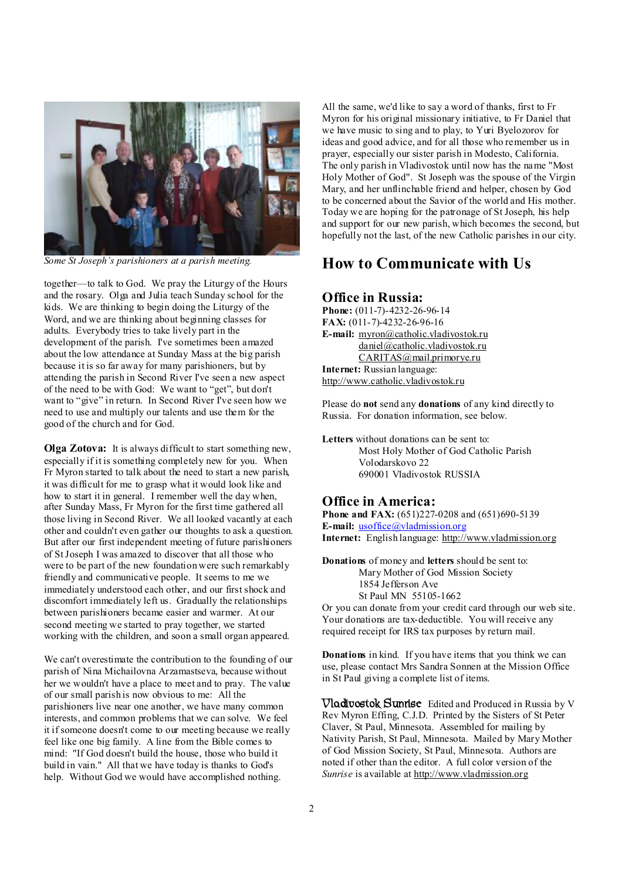

*Some St Joseph's parishioners at a parish meeting.*

together—to talk to God. We pray the Liturgy of the Hours and the rosary. Olga and Julia teach Sunday school for the kids. We are thinking to begin doing the Liturgy of the Word, and we are thinking about beginning classes for adults. Everybody tries to take lively part in the development of the parish. I've sometimes been amazed about the low attendance at Sunday Mass at the big parish because it is so far away for many parishioners, but by attending the parish in Second River I've seen a new aspect of the need to be with God: We want to "get", but don't want to "give" in return. In Second River I've seen how we need to use and multiply our talents and use them for the good of the church and for God.

**Olga Zotova:** It is always difficult to start something new, especially if it is something completely new for you. When Fr Myron started to talk about the need to start a new parish, it was difficult for me to grasp what it would look like and how to start it in general. I remember well the day when, after Sunday Mass, Fr Myron for the first time gathered all those living in Second River. We all looked vacantly at each other and couldn't even gather our thoughts to ask a question. But after our first independent meeting of future parishioners of StJoseph I was amazed to discover that all those who were to be part of the new foundation were such remarkably friendly and communicative people. It seems to me we immediately understood each other, and our first shock and discomfort immediately left us. Gradually the relationships between parishioners became easier and warmer. At our second meeting we started to pray together, we started working with the children, and soon a small organ appeared.

We can't overestimate the contribution to the founding of our parish of Nina Michailovna Arzamastseva, because without her we wouldn't have a place to meet and to pray. The value of our small parish is now obvious to me: All the parishioners live near one another, we have many common interests, and common problems that we can solve. We feel it if someone doesn't come to our meeting because we really feel like one big family. A line from the Bible comes to mind: "If God doesn't build the house, those who build it build in vain." All that we have today is thanks to God's help. Without God we would have accomplished nothing.

All the same, we'd like to say a word of thanks, first to Fr Myron for his original missionary initiative, to Fr Daniel that we have music to sing and to play, to Yuri Byelozorov for ideas and good advice, and for all those who remember us in prayer, especially our sister parish in Modesto, California. The only parish in Vladivostok until now has the name "Most Holy Mother of God". St Joseph was the spouse of the Virgin Mary, and her unflinchable friend and helper, chosen by God to be concerned about the Savior of the world and His mother. Today we are hoping for the patronage of St Joseph, his help and support for our new parish, which becomes the second, but hopefully not the last, of the new Catholic parishes in our city.

## **How to Communicate with Us**

## **Office in Russia:**

**Phone:** (011-7)-4232-26-96-14 **FAX:** (011-7)-4232-26-96-16 **E-mail:** [myron@catholic.vladivostok.ru](mailto:myron@catholic.vladivostok.ru) [daniel@catholic.vladivostok.ru](mailto:daniel@catholic.vladivostok.ru) [CARITAS@mail.primorye.ru](mailto:CARITAS@mail.primorye.ru) **Internet:** Russian language: <http://www.catholic.vladivostok.ru>

Please do **not** send any **donations** of any kind directly to Russia. For donation information, see below.

**Letters** without donations can be sent to: Most Holy Mother of God Catholic Parish Volodarskovo 22 690001 Vladivostok RUSSIA

#### **Office in America:**

**Phone and FAX:** (651)227-0208 and (651)690-5139 **E-mail:** [usoffice@vladmission.org](mailto:usoffice@vladmission.org) **Internet:** English language: <http://www.vladmission.org>

**Donations** of money and **letters** should be sent to: Mary Mother of God Mission Society 1854 Jefferson Ave St Paul MN 55105-1662

Or you can donate from your credit card through our web site. Your donations are tax-deductible. You will receive any required receipt for IRS tax purposes by return mail.

**Donations** in kind. If you have items that you think we can use, please contact Mrs Sandra Sonnen at the Mission Office in St Paul giving a complete list of items.

**Vladivostok Sunrise** Edited and Produced in Russia by V Rev Myron Effing, C.J.D. Printed by the Sisters of St Peter Claver, St Paul, Minnesota. Assembled for mailing by Nativity Parish, St Paul, Minnesota. Mailed by Mary Mother of God Mission Society, St Paul, Minnesota. Authors are noted if other than the editor. A full color version of the *Sunrise* is available at <http://www.vladmission.org>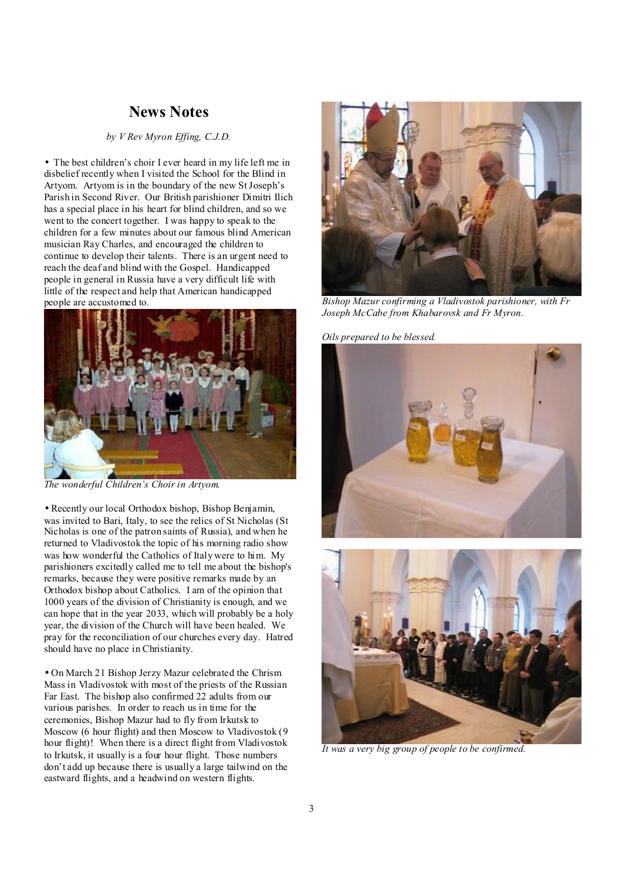## **News Notes**

## *by V Rev Myron Effing, C.J.D.*

• The best children's choir I ever heard in my life left me in disbelief recently when I visited the School for the Blind in Artyom. Artyom is in the boundary of the new StJoseph's Parish in Second River. Our British parishioner Dimitri Ilich has a special place in his heart for blind children, and so we went to the concert together. I was happy to speak to the children for a few minutes about our famous blind American musician Ray Charles, and encouraged the children to continue to develop their talents. There is an urgent need to reach the deaf and blind with the Gospel. Handicapped people in general in Russia have a very difficult life with little of the respect and help that American handicapped people are accustomed to.



*The wonderful Children's Choir in Artyom.* 

• Recently our local Orthodox bishop, Bishop Benjamin, was invited to Bari, Italy, to see the relics of St Nicholas (St Nicholas is one of the patron saints of Russia), and when he returned to Vladivostok the topic of his morning radio show was how wonderful the Catholics of Italy were to him. My parishioners excitedly called me to tell me about the bishop's remarks, because they were positive remarks made by an Orthodox bishop about Catholics. I am of the opinion that 1000 years of the division of Christianity is enough, and we can hope that in the year 2033, which will probably be a holy year, the division of the Church will have been healed. We pray for the reconciliation of our churches every day. Hatred should have no place in Christianity.

• On March 21 Bishop Jerzy Mazur celebrated the Chrism Mass in Vladivostok with most of the priests of the Russian Far East. The bishop also confirmed 22 adults from our various parishes. In order to reach us in time for the ceremonies, Bishop Mazur had to fly from Irkutsk to Moscow (6 hour flight) and then Moscow to Vladivostok (9 hour flight)! When there is a direct flight from Vladivostok to Irkutsk, it usually is a four hour flight. Those numbers don't add up because there is usually a large tailwind on the eastward flights, and a headwind on western flights.



*Bishop Mazur confirming a Vladivostok parishioner, with Fr Joseph McCabe from Khabarovsk and Fr Myron.* 

#### *Oils prepared to be blessed.*





*It was a very big group of people to be confirmed.*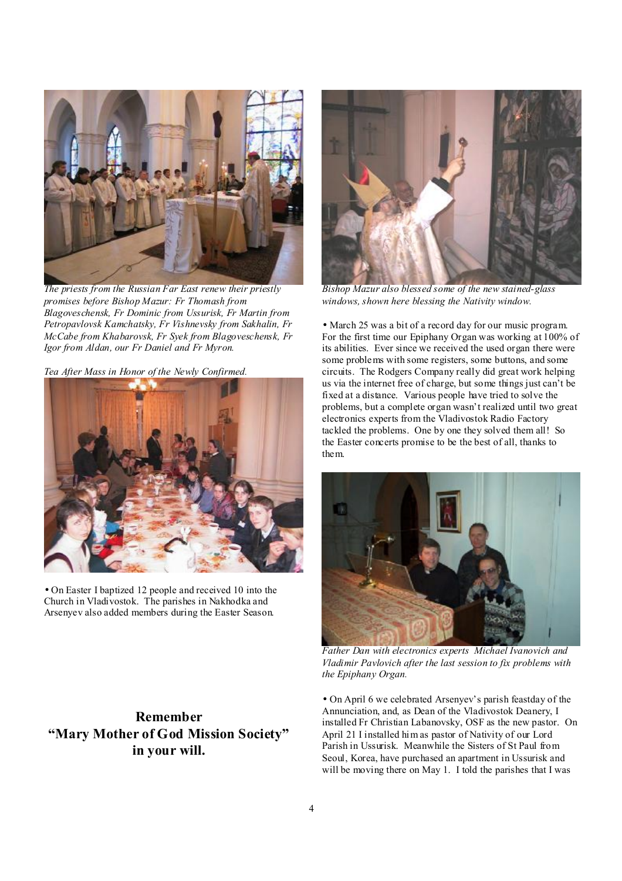

*The priests from the Russian Far East renew their priestly promises before Bishop Mazur: Fr Thomash from Blagoveschensk, Fr Dominic from Ussurisk, Fr Martin from Petropavlovsk Kamchatsky, Fr Vishnevsky from Sakhalin, Fr McCabe from Khabarovsk, Fr Syek from Blagoveschensk, Fr Igor from Aldan, our Fr Daniel and Fr Myron.* 

*Tea After Mass in Honor of the Newly Confirmed.* 



• On Easter I baptized 12 people and received 10 into the Church in Vladivostok. The parishes in Nakhodka and Arsenyev also added members during the Easter Season.

**Remember "Mary Mother of God Mission Society" in your will.** 



*Bishop Mazur also blessed some of the new stained-glass windows, shown here blessing the Nativity window.* 

• March 25 was a bit of a record day for our music program. For the first time our Epiphany Organ was working at 100% of its abilities. Ever since we received the used organ there were some problems with some registers, some buttons, and some circuits. The Rodgers Company really did great work helping us via the internet free of charge, but some things just can't be fixed at a distance. Various people have tried to solve the problems, but a complete organ wasn't realized until two great electronics experts from the Vladivostok Radio Factory tackled the problems. One by one they solved them all! So the Easter concerts promise to be the best of all, thanks to them.



*Father Dan with electronics experts Michael Ivanovich and Vladimir Pavlovich after the last session to fix problems with the Epiphany Organ.*

• On April 6 we celebrated Arsenyev's parish feastday of the Annunciation, and, as Dean of the Vladivostok Deanery, I installed Fr Christian Labanovsky, OSF as the new pastor. On April 21 I installed him as pastor of Nativity of our Lord Parish in Ussurisk. Meanwhile the Sisters of St Paul from Seoul, Korea, have purchased an apartment in Ussurisk and will be moving there on May 1. I told the parishes that I was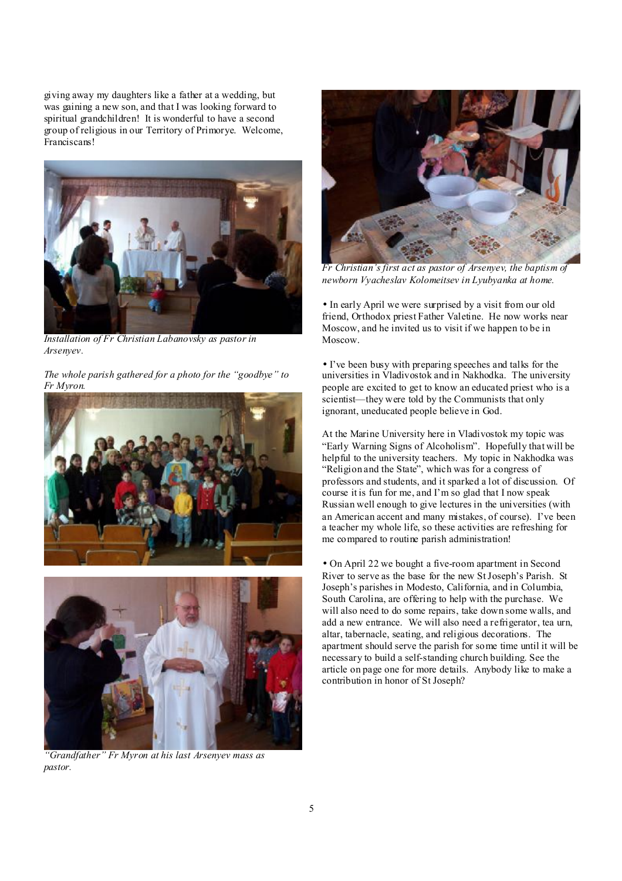giving away my daughters like a father at a wedding, but was gaining a new son, and that I was looking forward to spiritual grandchildren! It is wonderful to have a second group of religious in our Territory of Primorye. Welcome, Franciscans!



*Installation of Fr Christian Labanovsky as pastor in Arsenyev.* 

*The whole parish gathered for a photo for the "goodbye" to Fr Myron.* 





*"Grandfather" Fr Myron at his last Arsenyev mass as pastor.* 



*Fr Christian's first act as pastor of Arsenyev, the baptism of newborn Vyacheslav Kolomeitsev in Lyubyanka at home.* 

• In early April we were surprised by a visit from our old friend, Orthodox priest Father Valetine. He now works near Moscow, and he invited us to visit if we happen to be in Moscow.

• I've been busy with preparing speeches and talks for the universities in Vladivostok and in Nakhodka. The university people are excited to get to know an educated priest who is a scientist—they were told by the Communists that only ignorant, uneducated people believe in God.

At the Marine University here in Vladivostok my topic was "Early Warning Signs of Alcoholism". Hopefully that will be helpful to the university teachers. My topic in Nakhodka was "Religion and the State", which was for a congress of professors and students, and it sparked a lot of discussion. Of course it is fun for me, and I'm so glad that I now speak Russian well enough to give lectures in the universities (with an American accent and many mistakes, of course). I've been a teacher my whole life, so these activities are refreshing for me compared to routine parish administration!

• On April 22 we bought a five-room apartment in Second River to serve as the base for the new StJoseph's Parish. St Joseph's parishes in Modesto, California, and in Columbia, South Carolina, are offering to help with the purchase. We will also need to do some repairs, take down some walls, and add a new entrance. We will also need a refrigerator, tea urn, altar, tabernacle, seating, and religious decorations. The apartment should serve the parish for some time until it will be necessary to build a self-standing church building. See the article on page one for more details. Anybody like to make a contribution in honor of St Joseph?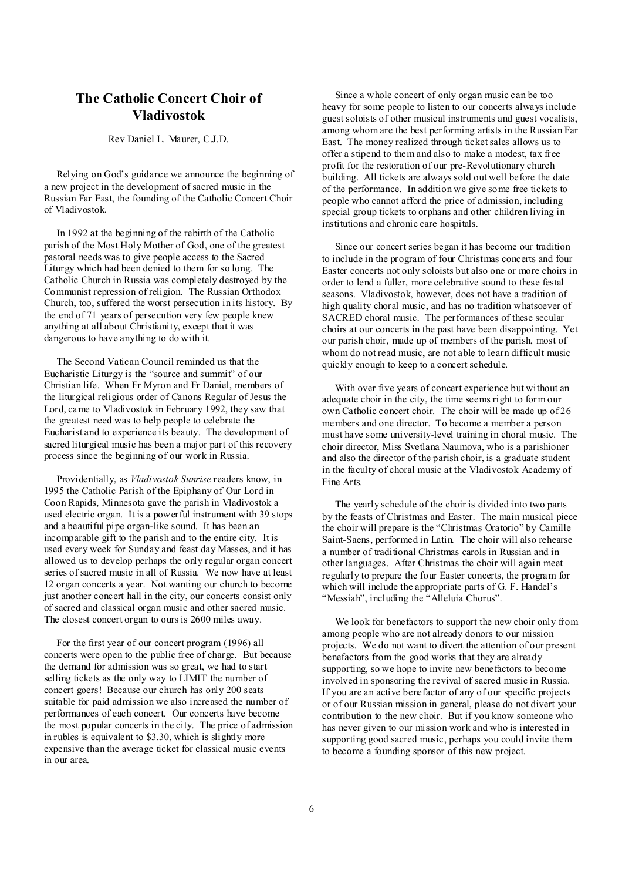## **The Catholic Concert Choir of Vladivostok**

Rev Daniel L. Maurer, C.J.D.

 Relying on God's guidance we announce the beginning of a new project in the development of sacred music in the Russian Far East, the founding of the Catholic Concert Choir of Vladivostok.

 In 1992 at the beginning of the rebirth of the Catholic parish of the Most Holy Mother of God, one of the greatest pastoral needs was to give people access to the Sacred Liturgy which had been denied to them for so long. The Catholic Church in Russia was completely destroyed by the Communist repression of religion. The Russian Orthodox Church, too, suffered the worst persecution in its history. By the end of 71 years of persecution very few people knew anything at all about Christianity, except that it was dangerous to have anything to do with it.

 The Second Vatican Council reminded us that the Eucharistic Liturgy is the "source and summit" of our Christian life. When Fr Myron and Fr Daniel, members of the liturgical religious order of Canons Regular of Jesus the Lord, came to Vladivostok in February 1992, they saw that the greatest need was to help people to celebrate the Eucharist and to experience its beauty. The development of sacred liturgical music has been a major part of this recovery process since the beginning of our work in Russia.

 Providentially, as *Vladivostok Sunrise* readers know, in 1995 the Catholic Parish of the Epiphany of Our Lord in Coon Rapids, Minnesota gave the parish in Vladivostok a used electric organ. It is a powerful instrument with 39 stops and a beautiful pipe organ-like sound. It has been an incomparable gift to the parish and to the entire city. It is used every week for Sunday and feast day Masses, and it has allowed us to develop perhaps the only regular organ concert series of sacred music in all of Russia. We now have at least 12 organ concerts a year. Not wanting our church to become just another concert hall in the city, our concerts consist only of sacred and classical organ music and other sacred music. The closest concert organ to ours is 2600 miles away.

 For the first year of our concert program (1996) all concerts were open to the public free of charge. But because the demand for admission was so great, we had to start selling tickets as the only way to LIMIT the number of concert goers! Because our church has only 200 seats suitable for paid admission we also increased the number of performances of each concert. Our concerts have become the most popular concerts in the city. The price of admission in rubles is equivalent to \$3.30, which is slightly more expensive than the average ticket for classical music events in our area.

 Since a whole concert of only organ music can be too heavy for some people to listen to our concerts always include guest soloists of other musical instruments and guest vocalists, among whom are the best performing artists in the Russian Far East. The money realized through ticketsales allows us to offer a stipend to them and also to make a modest, tax free profit for the restoration of our pre-Revolutionary church building. All tickets are always sold out well before the date of the performance. In addition we give some free tickets to people who cannot afford the price of admission, including special group tickets to orphans and other children living in institutions and chronic care hospitals.

 Since our concert series began it has become our tradition to include in the program of four Christmas concerts and four Easter concerts not only soloists but also one or more choirs in order to lend a fuller, more celebrative sound to these festal seasons. Vladivostok, however, does not have a tradition of high quality choral music, and has no tradition whatsoever of SACRED choral music. The performances of these secular choirs at our concerts in the past have been disappointing. Yet our parish choir, made up of members of the parish, most of whom do not read music, are not able to learn difficult music quickly enough to keep to a concert schedule.

With over five years of concert experience but without an adequate choir in the city, the time seems right to form our own Catholic concert choir. The choir will be made up of 26 members and one director. To become a member a person must have some university-level training in choral music. The choir director, Miss Svetlana Naumova, who is a parishioner and also the director of the parish choir, is a graduate student in the faculty of choral music at the Vladivostok Academy of Fine Arts.

 The yearly schedule of the choir is divided into two parts by the feasts of Christmas and Easter. The main musical piece the choir will prepare is the "Christmas Oratorio" by Camille Saint-Saens, performed in Latin. The choir will also rehearse a number of traditional Christmas carols in Russian and in other languages. After Christmas the choir will again meet regularly to prepare the four Easter concerts, the program for which will include the appropriate parts of G. F. Handel's "Messiah", including the "Alleluia Chorus".

 We look for benefactors to support the new choir only from among people who are not already donors to our mission projects. We do not want to divert the attention of our present benefactors from the good works that they are already supporting, so we hope to invite new benefactors to become involved in sponsoring the revival of sacred music in Russia. If you are an active benefactor of any of our specific projects or of our Russian mission in general, please do not divert your contribution to the new choir. But if you know someone who has never given to our mission work and who is interested in supporting good sacred music, perhaps you could invite them to become a founding sponsor of this new project.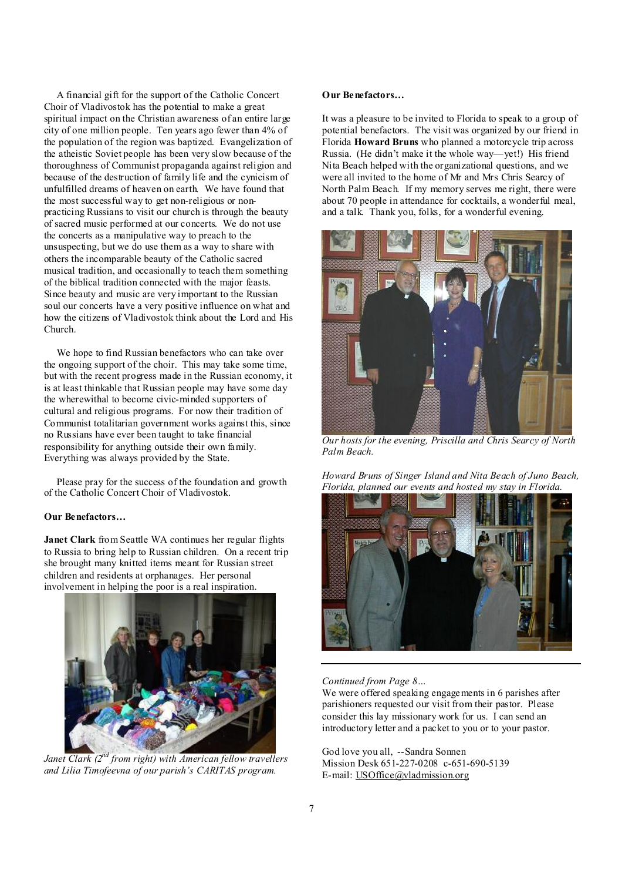A financial gift for the support of the Catholic Concert Choir of Vladivostok has the potential to make a great spiritual impact on the Christian awareness of an entire large city of one million people. Ten years ago fewer than 4% of the population of the region was baptized. Evangelization of the atheistic Soviet people has been very slow because of the thoroughness of Communist propaganda against religion and because of the destruction of family life and the cynicism of unfulfilled dreams of heaven on earth. We have found that the most successful way to get non-religious or nonpracticing Russians to visit our church is through the beauty of sacred music performed at our concerts. We do not use the concerts as a manipulative way to preach to the unsuspecting, but we do use them as a way to share with others the incomparable beauty of the Catholic sacred musical tradition, and occasionally to teach them something of the biblical tradition connected with the major feasts. Since beauty and music are very important to the Russian soul our concerts have a very positive influence on what and how the citizens of Vladivostok think about the Lord and His Church.

We hope to find Russian benefactors who can take over the ongoing support of the choir. This may take some time, but with the recent progress made in the Russian economy, it is at least thinkable that Russian people may have some day the wherewithal to become civic-minded supporters of cultural and religious programs. For now their tradition of Communist totalitarian government works against this, since no Russians have ever been taught to take financial responsibility for anything outside their own family. Everything was always provided by the State.

 Please pray for the success of the foundation and growth of the Catholic Concert Choir of Vladivostok.

#### **Our Benefactors…**

**Janet Clark** from Seattle WA continues her regular flights to Russia to bring help to Russian children. On a recent trip she brought many knitted items meant for Russian street children and residents at orphanages. Her personal involvement in helping the poor is a real inspiration.



*and Lilia Timofeevna of our parish's CARITAS program.* 

#### **Our Benefactors…**

It was a pleasure to be invited to Florida to speak to a group of potential benefactors. The visit was organized by our friend in Florida **Howard Bruns** who planned a motorcycle trip across Russia. (He didn't make it the whole way—yet!) His friend Nita Beach helped with the organizational questions, and we were all invited to the home of Mr and Mrs Chris Searcy of North Palm Beach. If my memory serves me right, there were about 70 people in attendance for cocktails, a wonderful meal, and a talk. Thank you, folks, for a wonderful evening.



*Our hosts for the evening, Priscilla and Chris Searcy of North Palm Beach.* 

*Howard Bruns of Singer Island and Nita Beach of Juno Beach, Florida, planned our events and hosted my stay in Florida.* 



*Continued from Page 8…* 

We were offered speaking engagements in 6 parishes after parishioners requested our visit from their pastor. Please consider this lay missionary work for us. I can send an introductory letter and a packet to you or to your pastor.

God love you all, --Sandra Sonnen Mission Desk 651-227-0208 c-651-690-5139 E-mail: [USOffice@vladmission.org](mailto:USOffice@vladmission.org)